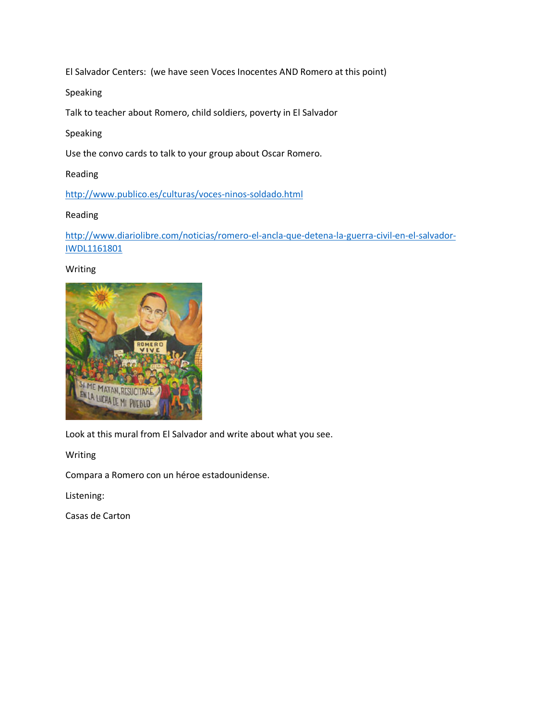El Salvador Centers: (we have seen Voces Inocentes AND Romero at this point)

Speaking

Talk to teacher about Romero, child soldiers, poverty in El Salvador

Speaking

Use the convo cards to talk to your group about Oscar Romero.

Reading

http://www.publico.es/culturas/voces-ninos-soldado.html

Reading

http://www.diariolibre.com/noticias/romero-el-ancla-que-detena-la-guerra-civil-en-el-salvador-IWDL1161801

Writing



Look at this mural from El Salvador and write about what you see.

Writing

Compara a Romero con un héroe estadounidense.

Listening:

Casas de Carton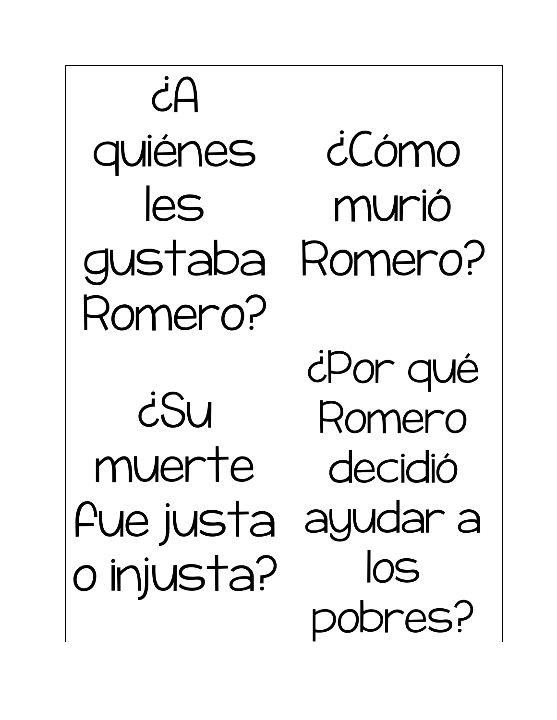$\dot{\epsilon}$ quiénes les gustaba Romero? ¿Cómo murió Romero? ¿Su muerte fue justa o injusta? ¿Por qué Romero decidió ayudar a los pobres?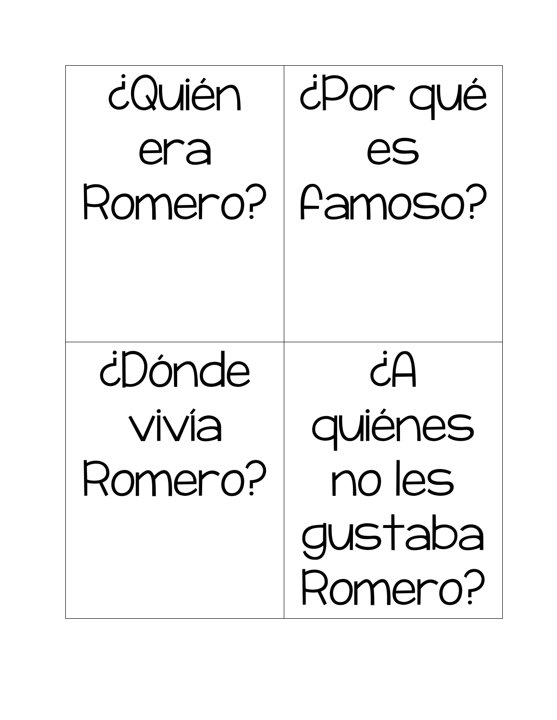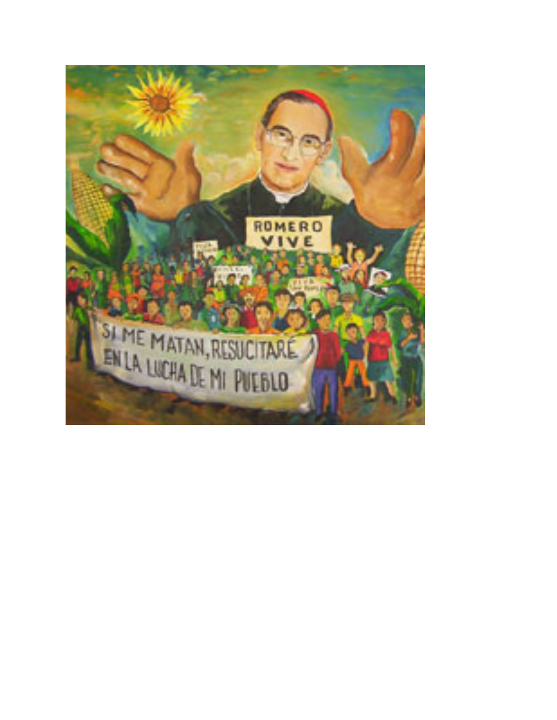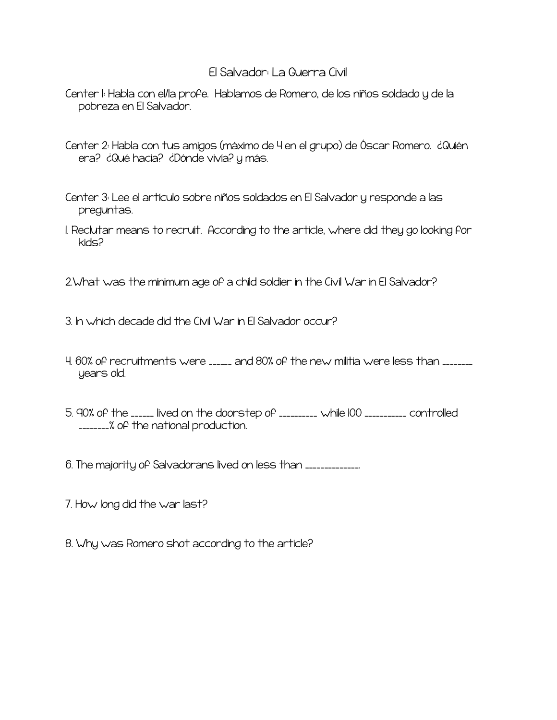## El Salvador: La Guerra Civil

- Center 1: Habla con el/la profe. Hablamos de Romero, de los niños soldado y de la pobreza en El Salvador.
- Center 2: Habla con tus amigos (máximo de 4 en el grupo) de Óscar Romero. ¿Quién era? ¿Qué hacía? ¿Dónde vivía? y más.
- Center 3: Lee el artículo sobre niños soldados en El Salvador y responde a las preguntas.
- 1. Reclutar means to recruit. According to the article, where did they go looking for kids?
- 2.What was the mínimum age of a child soldier in the Civil War in El Salvador?
- 3. In which decade did the Civil War in El Salvador occur?
- 4. 60% of recruitments were \_\_\_\_\_\_ and 80% of the new militia were less than \_\_\_\_\_\_\_\_ years old.
- 5. 90% of the \_\_\_\_\_\_ lived on the doorstep of \_\_\_\_\_\_\_\_\_\_ while 100 \_\_\_\_\_\_\_\_\_\_\_ controlled \_\_\_\_\_\_\_\_% of the national production.
- 6. The majority of Salvadorans lived on less than \_\_\_\_\_\_\_\_\_\_\_\_\_\_.
- 7. How long did the war last?
- 8. Why was Romero shot according to the article?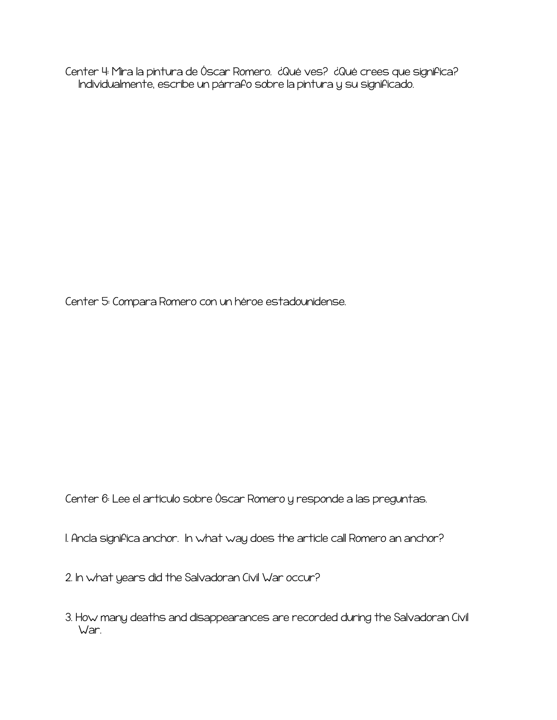Center 4: Mira la pintura de Óscar Romero. ¿Qué ves? ¿Qué crees que significa? Individualmente, escribe un párrafo sobre la pintura y su significado.

Center 5: Compara Romero con un héroe estadounidense.

Center 6: Lee el artículo sobre Óscar Romero y responde a las preguntas.

1. Ancla significa anchor. In what way does the article call Romero an anchor?

2. In what years did the Salvadoran Civil War occur?

3. How many deaths and disappearances are recorded during the Salvadoran Civil War.